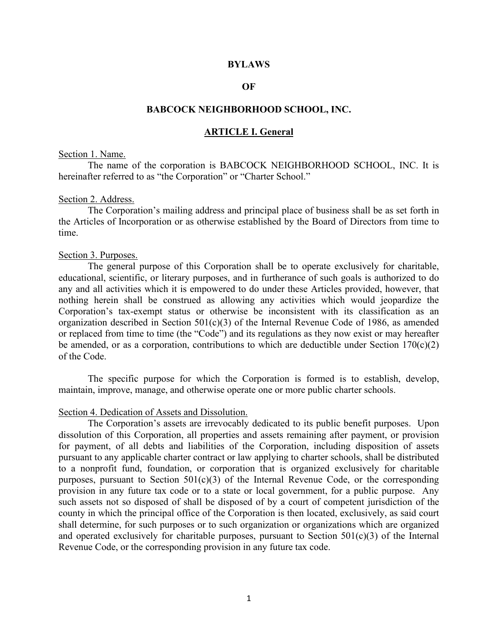#### **BYLAWS**

## **OF**

# **BABCOCK NEIGHBORHOOD SCHOOL, INC.**

# **ARTICLE I. General**

#### Section 1. Name.

The name of the corporation is BABCOCK NEIGHBORHOOD SCHOOL, INC. It is hereinafter referred to as "the Corporation" or "Charter School."

#### Section 2. Address.

The Corporation's mailing address and principal place of business shall be as set forth in the Articles of Incorporation or as otherwise established by the Board of Directors from time to time.

#### Section 3. Purposes.

The general purpose of this Corporation shall be to operate exclusively for charitable, educational, scientific, or literary purposes, and in furtherance of such goals is authorized to do any and all activities which it is empowered to do under these Articles provided, however, that nothing herein shall be construed as allowing any activities which would jeopardize the Corporation's tax-exempt status or otherwise be inconsistent with its classification as an organization described in Section  $501(c)(3)$  of the Internal Revenue Code of 1986, as amended or replaced from time to time (the "Code") and its regulations as they now exist or may hereafter be amended, or as a corporation, contributions to which are deductible under Section  $170(c)(2)$ of the Code.

The specific purpose for which the Corporation is formed is to establish, develop, maintain, improve, manage, and otherwise operate one or more public charter schools.

#### Section 4. Dedication of Assets and Dissolution.

The Corporation's assets are irrevocably dedicated to its public benefit purposes. Upon dissolution of this Corporation, all properties and assets remaining after payment, or provision for payment, of all debts and liabilities of the Corporation, including disposition of assets pursuant to any applicable charter contract or law applying to charter schools, shall be distributed to a nonprofit fund, foundation, or corporation that is organized exclusively for charitable purposes, pursuant to Section  $501(c)(3)$  of the Internal Revenue Code, or the corresponding provision in any future tax code or to a state or local government, for a public purpose. Any such assets not so disposed of shall be disposed of by a court of competent jurisdiction of the county in which the principal office of the Corporation is then located, exclusively, as said court shall determine, for such purposes or to such organization or organizations which are organized and operated exclusively for charitable purposes, pursuant to Section  $501(c)(3)$  of the Internal Revenue Code, or the corresponding provision in any future tax code.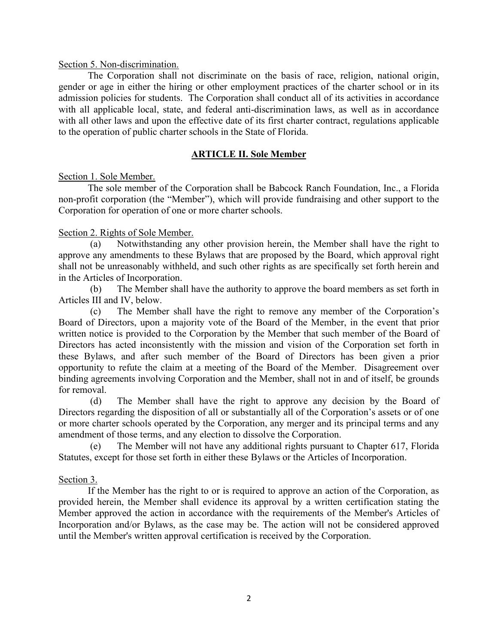# Section 5. Non-discrimination.

The Corporation shall not discriminate on the basis of race, religion, national origin, gender or age in either the hiring or other employment practices of the charter school or in its admission policies for students. The Corporation shall conduct all of its activities in accordance with all applicable local, state, and federal anti-discrimination laws, as well as in accordance with all other laws and upon the effective date of its first charter contract, regulations applicable to the operation of public charter schools in the State of Florida.

# **ARTICLE II. Sole Member**

# Section 1. Sole Member.

The sole member of the Corporation shall be Babcock Ranch Foundation, Inc., a Florida non-profit corporation (the "Member"), which will provide fundraising and other support to the Corporation for operation of one or more charter schools.

# Section 2. Rights of Sole Member.

(a) Notwithstanding any other provision herein, the Member shall have the right to approve any amendments to these Bylaws that are proposed by the Board, which approval right shall not be unreasonably withheld, and such other rights as are specifically set forth herein and in the Articles of Incorporation.

(b) The Member shall have the authority to approve the board members as set forth in Articles III and IV, below.

(c) The Member shall have the right to remove any member of the Corporation's Board of Directors, upon a majority vote of the Board of the Member, in the event that prior written notice is provided to the Corporation by the Member that such member of the Board of Directors has acted inconsistently with the mission and vision of the Corporation set forth in these Bylaws, and after such member of the Board of Directors has been given a prior opportunity to refute the claim at a meeting of the Board of the Member. Disagreement over binding agreements involving Corporation and the Member, shall not in and of itself, be grounds for removal.

(d) The Member shall have the right to approve any decision by the Board of Directors regarding the disposition of all or substantially all of the Corporation's assets or of one or more charter schools operated by the Corporation, any merger and its principal terms and any amendment of those terms, and any election to dissolve the Corporation.

(e) The Member will not have any additional rights pursuant to Chapter 617, Florida Statutes, except for those set forth in either these Bylaws or the Articles of Incorporation.

# Section 3.

If the Member has the right to or is required to approve an action of the Corporation, as provided herein, the Member shall evidence its approval by a written certification stating the Member approved the action in accordance with the requirements of the Member's Articles of Incorporation and/or Bylaws, as the case may be. The action will not be considered approved until the Member's written approval certification is received by the Corporation.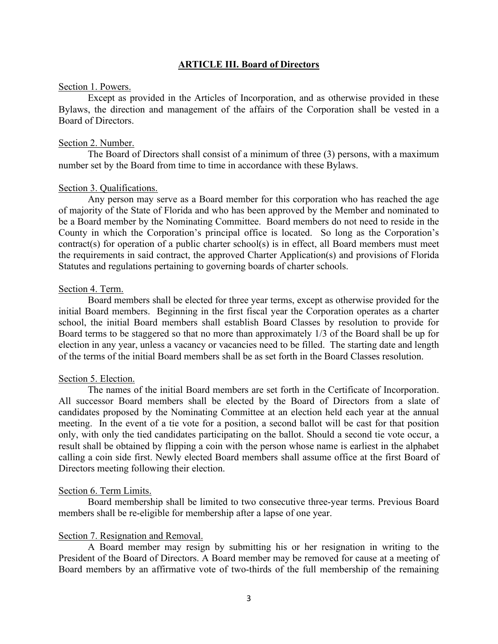# **ARTICLE III. Board of Directors**

#### Section 1. Powers.

Except as provided in the Articles of Incorporation, and as otherwise provided in these Bylaws, the direction and management of the affairs of the Corporation shall be vested in a Board of Directors.

#### Section 2. Number.

The Board of Directors shall consist of a minimum of three (3) persons, with a maximum number set by the Board from time to time in accordance with these Bylaws.

#### Section 3. Qualifications.

Any person may serve as a Board member for this corporation who has reached the age of majority of the State of Florida and who has been approved by the Member and nominated to be a Board member by the Nominating Committee. Board members do not need to reside in the County in which the Corporation's principal office is located. So long as the Corporation's contract(s) for operation of a public charter school(s) is in effect, all Board members must meet the requirements in said contract, the approved Charter Application(s) and provisions of Florida Statutes and regulations pertaining to governing boards of charter schools.

#### Section 4. Term.

Board members shall be elected for three year terms, except as otherwise provided for the initial Board members. Beginning in the first fiscal year the Corporation operates as a charter school, the initial Board members shall establish Board Classes by resolution to provide for Board terms to be staggered so that no more than approximately 1/3 of the Board shall be up for election in any year, unless a vacancy or vacancies need to be filled. The starting date and length of the terms of the initial Board members shall be as set forth in the Board Classes resolution.

#### Section 5. Election.

The names of the initial Board members are set forth in the Certificate of Incorporation. All successor Board members shall be elected by the Board of Directors from a slate of candidates proposed by the Nominating Committee at an election held each year at the annual meeting. In the event of a tie vote for a position, a second ballot will be cast for that position only, with only the tied candidates participating on the ballot. Should a second tie vote occur, a result shall be obtained by flipping a coin with the person whose name is earliest in the alphabet calling a coin side first. Newly elected Board members shall assume office at the first Board of Directors meeting following their election.

#### Section 6. Term Limits.

Board membership shall be limited to two consecutive three-year terms. Previous Board members shall be re-eligible for membership after a lapse of one year.

#### Section 7. Resignation and Removal.

A Board member may resign by submitting his or her resignation in writing to the President of the Board of Directors. A Board member may be removed for cause at a meeting of Board members by an affirmative vote of two-thirds of the full membership of the remaining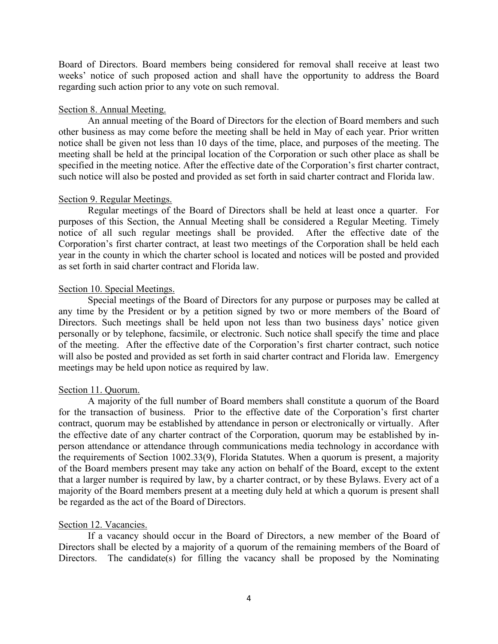Board of Directors. Board members being considered for removal shall receive at least two weeks' notice of such proposed action and shall have the opportunity to address the Board regarding such action prior to any vote on such removal.

#### Section 8. Annual Meeting.

An annual meeting of the Board of Directors for the election of Board members and such other business as may come before the meeting shall be held in May of each year. Prior written notice shall be given not less than 10 days of the time, place, and purposes of the meeting. The meeting shall be held at the principal location of the Corporation or such other place as shall be specified in the meeting notice. After the effective date of the Corporation's first charter contract, such notice will also be posted and provided as set forth in said charter contract and Florida law.

#### Section 9. Regular Meetings.

Regular meetings of the Board of Directors shall be held at least once a quarter. For purposes of this Section, the Annual Meeting shall be considered a Regular Meeting. Timely notice of all such regular meetings shall be provided. After the effective date of the Corporation's first charter contract, at least two meetings of the Corporation shall be held each year in the county in which the charter school is located and notices will be posted and provided as set forth in said charter contract and Florida law.

#### Section 10. Special Meetings.

Special meetings of the Board of Directors for any purpose or purposes may be called at any time by the President or by a petition signed by two or more members of the Board of Directors. Such meetings shall be held upon not less than two business days' notice given personally or by telephone, facsimile, or electronic. Such notice shall specify the time and place of the meeting. After the effective date of the Corporation's first charter contract, such notice will also be posted and provided as set forth in said charter contract and Florida law. Emergency meetings may be held upon notice as required by law.

## Section 11. Quorum.

A majority of the full number of Board members shall constitute a quorum of the Board for the transaction of business. Prior to the effective date of the Corporation's first charter contract, quorum may be established by attendance in person or electronically or virtually. After the effective date of any charter contract of the Corporation, quorum may be established by inperson attendance or attendance through communications media technology in accordance with the requirements of Section 1002.33(9), Florida Statutes. When a quorum is present, a majority of the Board members present may take any action on behalf of the Board, except to the extent that a larger number is required by law, by a charter contract, or by these Bylaws. Every act of a majority of the Board members present at a meeting duly held at which a quorum is present shall be regarded as the act of the Board of Directors.

# Section 12. Vacancies.

If a vacancy should occur in the Board of Directors, a new member of the Board of Directors shall be elected by a majority of a quorum of the remaining members of the Board of Directors. The candidate(s) for filling the vacancy shall be proposed by the Nominating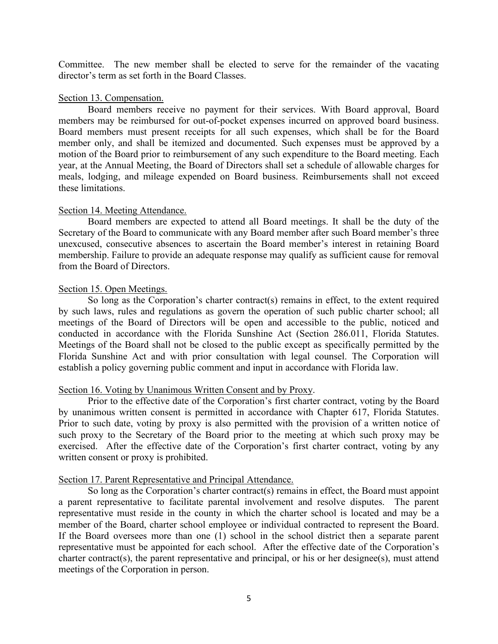Committee. The new member shall be elected to serve for the remainder of the vacating director's term as set forth in the Board Classes.

### Section 13. Compensation.

Board members receive no payment for their services. With Board approval, Board members may be reimbursed for out-of-pocket expenses incurred on approved board business. Board members must present receipts for all such expenses, which shall be for the Board member only, and shall be itemized and documented. Such expenses must be approved by a motion of the Board prior to reimbursement of any such expenditure to the Board meeting. Each year, at the Annual Meeting, the Board of Directors shall set a schedule of allowable charges for meals, lodging, and mileage expended on Board business. Reimbursements shall not exceed these limitations.

### Section 14. Meeting Attendance.

Board members are expected to attend all Board meetings. It shall be the duty of the Secretary of the Board to communicate with any Board member after such Board member's three unexcused, consecutive absences to ascertain the Board member's interest in retaining Board membership. Failure to provide an adequate response may qualify as sufficient cause for removal from the Board of Directors.

### Section 15. Open Meetings.

So long as the Corporation's charter contract(s) remains in effect, to the extent required by such laws, rules and regulations as govern the operation of such public charter school; all meetings of the Board of Directors will be open and accessible to the public, noticed and conducted in accordance with the Florida Sunshine Act (Section 286.011, Florida Statutes. Meetings of the Board shall not be closed to the public except as specifically permitted by the Florida Sunshine Act and with prior consultation with legal counsel. The Corporation will establish a policy governing public comment and input in accordance with Florida law.

# Section 16. Voting by Unanimous Written Consent and by Proxy.

Prior to the effective date of the Corporation's first charter contract, voting by the Board by unanimous written consent is permitted in accordance with Chapter 617, Florida Statutes. Prior to such date, voting by proxy is also permitted with the provision of a written notice of such proxy to the Secretary of the Board prior to the meeting at which such proxy may be exercised. After the effective date of the Corporation's first charter contract, voting by any written consent or proxy is prohibited.

# Section 17. Parent Representative and Principal Attendance.

So long as the Corporation's charter contract(s) remains in effect, the Board must appoint a parent representative to facilitate parental involvement and resolve disputes. The parent representative must reside in the county in which the charter school is located and may be a member of the Board, charter school employee or individual contracted to represent the Board. If the Board oversees more than one (1) school in the school district then a separate parent representative must be appointed for each school. After the effective date of the Corporation's charter contract(s), the parent representative and principal, or his or her designee(s), must attend meetings of the Corporation in person.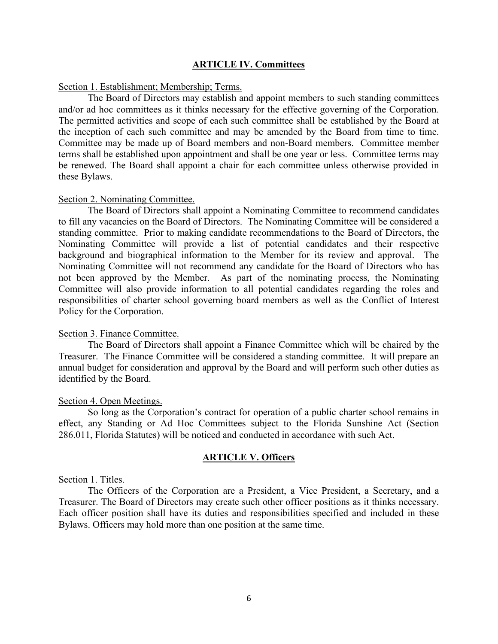# **ARTICLE IV. Committees**

## Section 1. Establishment; Membership; Terms.

The Board of Directors may establish and appoint members to such standing committees and/or ad hoc committees as it thinks necessary for the effective governing of the Corporation. The permitted activities and scope of each such committee shall be established by the Board at the inception of each such committee and may be amended by the Board from time to time. Committee may be made up of Board members and non-Board members. Committee member terms shall be established upon appointment and shall be one year or less. Committee terms may be renewed. The Board shall appoint a chair for each committee unless otherwise provided in these Bylaws.

#### Section 2. Nominating Committee.

The Board of Directors shall appoint a Nominating Committee to recommend candidates to fill any vacancies on the Board of Directors. The Nominating Committee will be considered a standing committee. Prior to making candidate recommendations to the Board of Directors, the Nominating Committee will provide a list of potential candidates and their respective background and biographical information to the Member for its review and approval. The Nominating Committee will not recommend any candidate for the Board of Directors who has not been approved by the Member. As part of the nominating process, the Nominating Committee will also provide information to all potential candidates regarding the roles and responsibilities of charter school governing board members as well as the Conflict of Interest Policy for the Corporation.

### Section 3. Finance Committee.

The Board of Directors shall appoint a Finance Committee which will be chaired by the Treasurer. The Finance Committee will be considered a standing committee. It will prepare an annual budget for consideration and approval by the Board and will perform such other duties as identified by the Board.

#### Section 4. Open Meetings.

So long as the Corporation's contract for operation of a public charter school remains in effect, any Standing or Ad Hoc Committees subject to the Florida Sunshine Act (Section 286.011, Florida Statutes) will be noticed and conducted in accordance with such Act.

### **ARTICLE V. Officers**

## Section 1. Titles.

The Officers of the Corporation are a President, a Vice President, a Secretary, and a Treasurer. The Board of Directors may create such other officer positions as it thinks necessary. Each officer position shall have its duties and responsibilities specified and included in these Bylaws. Officers may hold more than one position at the same time.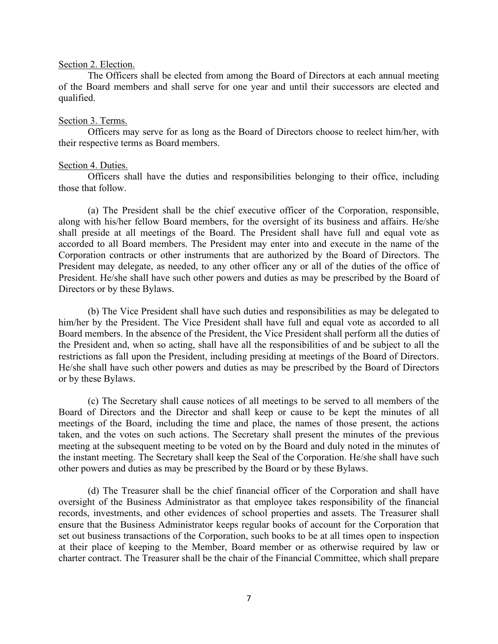#### Section 2. Election.

The Officers shall be elected from among the Board of Directors at each annual meeting of the Board members and shall serve for one year and until their successors are elected and qualified.

### Section 3. Terms.

Officers may serve for as long as the Board of Directors choose to reelect him/her, with their respective terms as Board members.

#### Section 4. Duties.

Officers shall have the duties and responsibilities belonging to their office, including those that follow.

(a) The President shall be the chief executive officer of the Corporation, responsible, along with his/her fellow Board members, for the oversight of its business and affairs. He/she shall preside at all meetings of the Board. The President shall have full and equal vote as accorded to all Board members. The President may enter into and execute in the name of the Corporation contracts or other instruments that are authorized by the Board of Directors. The President may delegate, as needed, to any other officer any or all of the duties of the office of President. He/she shall have such other powers and duties as may be prescribed by the Board of Directors or by these Bylaws.

(b) The Vice President shall have such duties and responsibilities as may be delegated to him/her by the President. The Vice President shall have full and equal vote as accorded to all Board members. In the absence of the President, the Vice President shall perform all the duties of the President and, when so acting, shall have all the responsibilities of and be subject to all the restrictions as fall upon the President, including presiding at meetings of the Board of Directors. He/she shall have such other powers and duties as may be prescribed by the Board of Directors or by these Bylaws.

(c) The Secretary shall cause notices of all meetings to be served to all members of the Board of Directors and the Director and shall keep or cause to be kept the minutes of all meetings of the Board, including the time and place, the names of those present, the actions taken, and the votes on such actions. The Secretary shall present the minutes of the previous meeting at the subsequent meeting to be voted on by the Board and duly noted in the minutes of the instant meeting. The Secretary shall keep the Seal of the Corporation. He/she shall have such other powers and duties as may be prescribed by the Board or by these Bylaws.

(d) The Treasurer shall be the chief financial officer of the Corporation and shall have oversight of the Business Administrator as that employee takes responsibility of the financial records, investments, and other evidences of school properties and assets. The Treasurer shall ensure that the Business Administrator keeps regular books of account for the Corporation that set out business transactions of the Corporation, such books to be at all times open to inspection at their place of keeping to the Member, Board member or as otherwise required by law or charter contract. The Treasurer shall be the chair of the Financial Committee, which shall prepare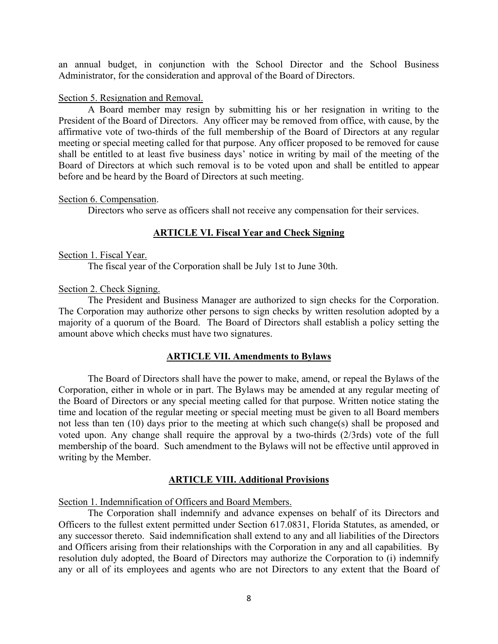an annual budget, in conjunction with the School Director and the School Business Administrator, for the consideration and approval of the Board of Directors.

## Section 5. Resignation and Removal.

A Board member may resign by submitting his or her resignation in writing to the President of the Board of Directors. Any officer may be removed from office, with cause, by the affirmative vote of two-thirds of the full membership of the Board of Directors at any regular meeting or special meeting called for that purpose. Any officer proposed to be removed for cause shall be entitled to at least five business days' notice in writing by mail of the meeting of the Board of Directors at which such removal is to be voted upon and shall be entitled to appear before and be heard by the Board of Directors at such meeting.

### Section 6. Compensation.

Directors who serve as officers shall not receive any compensation for their services.

# **ARTICLE VI. Fiscal Year and Check Signing**

### Section 1. Fiscal Year.

The fiscal year of the Corporation shall be July 1st to June 30th.

### Section 2. Check Signing.

The President and Business Manager are authorized to sign checks for the Corporation. The Corporation may authorize other persons to sign checks by written resolution adopted by a majority of a quorum of the Board. The Board of Directors shall establish a policy setting the amount above which checks must have two signatures.

# **ARTICLE VII. Amendments to Bylaws**

The Board of Directors shall have the power to make, amend, or repeal the Bylaws of the Corporation, either in whole or in part. The Bylaws may be amended at any regular meeting of the Board of Directors or any special meeting called for that purpose. Written notice stating the time and location of the regular meeting or special meeting must be given to all Board members not less than ten (10) days prior to the meeting at which such change(s) shall be proposed and voted upon. Any change shall require the approval by a two-thirds (2/3rds) vote of the full membership of the board. Such amendment to the Bylaws will not be effective until approved in writing by the Member.

# **ARTICLE VIII. Additional Provisions**

Section 1. Indemnification of Officers and Board Members.

The Corporation shall indemnify and advance expenses on behalf of its Directors and Officers to the fullest extent permitted under Section 617.0831, Florida Statutes, as amended, or any successor thereto. Said indemnification shall extend to any and all liabilities of the Directors and Officers arising from their relationships with the Corporation in any and all capabilities. By resolution duly adopted, the Board of Directors may authorize the Corporation to (i) indemnify any or all of its employees and agents who are not Directors to any extent that the Board of